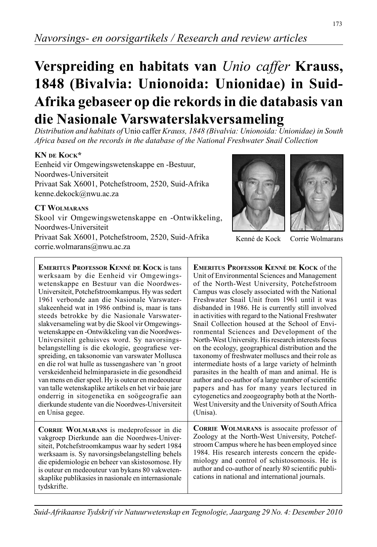# *Navorsings- en oorsigartikels / Research and review articles*

# **Verspreiding en habitats van** *Unio caffer* **Krauss, 1848 (Bivalvia: Unionoida: Unionidae) in Suid-Afrika gebaseer op die rekords in die databasis van die Nasionale Varswaterslakversameling**

*Distribution and habitats of* Unio caffer *Krauss, 1848 (Bivalvia: Unionoida: Unionidae) in South Africa based on the records in the database of the National Freshwater Snail Collection*

# **KN DE KOCK\***

Eenheid vir Omgewingswetenskappe en -Bestuur, Noordwes-Universiteit Privaat Sak X6001, Potchefstroom, 2520, Suid-Afrika kenne.dekock@nwu.ac.za

#### **CT WOLMARANS**

corrie.wolmarans@nwu.ac.za

Skool vir Omgewingswetenskappe en -Ontwikkeling, Noordwes-Universiteit Privaat Sak X6001, Potchefstroom, 2520, Suid-Afrika

**EMERITUS PROFESSOR KENNÉ DE KOCK** is tans werksaam by die Eenheid vir Omgewingswetenskappe en Bestuur van die Noordwes-Universiteit, Potchefstroomkampus. Hy was sedert 1961 verbonde aan die Nasionale Varswaterslakeenheid wat in 1986 ontbind is, maar is tans steeds betrokke by die Nasionale Varswaterslakversameling wat by die Skool vir Omgewingswetenskappe en -Ontwikkeling van die Noordwes-Universiteit gehuisves word. Sy navorsingsbelangstelling is die ekologie, geografiese verspreiding, en taksonomie van varswater Mollusca en die rol wat hulle as tussengashere van 'n groot verskeidenheid helminparasiete in die gesondheid van mens en dier speel. Hy is outeur en medeouteur van talle wetenskaplike artikels en het vir baie jare onderrig in sitogenetika en soögeografie aan dierkunde studente van die Noordwes-Universiteit en Unisa gegee.

**CORRIE WOLMARANS** is medeprofessor in die vakgroep Dierkunde aan die Noordwes-Universiteit, Potchefstroomkampus waar hy sedert 1984 werksaam is. Sy navorsingsbelangstelling behels die epidemiologie en beheer van skistosomose. Hy is outeur en medeouteur van bykans 80 vakwetenskaplike publikasies in nasionale en internasionale tydskrifte.

**EMERITUS PROFESSOR KENNÉ DE KOCK** of the Unit of Environmental Sciences and Management of the North-West University, Potchefstroom Campus was closely associated with the National Freshwater Snail Unit from 1961 until it was disbanded in 1986. He is currently still involved in activities with regard to the National Freshwater Snail Collection housed at the School of Environmental Sciences and Development of the North-West University. His research interests focus on the ecology, geographical distribution and the taxonomy of freshwater molluscs and their role as intermediate hosts of a large variety of helminth parasites in the health of man and animal. He is author and co-author of a large number of scientific papers and has for many years lectured in cytogenetics and zoogeography both at the North-West University and the University of South Africa

**CORRIE WOLMARANS** is assocaite professor of Zoology at the North-West University, Potchefstroom Campus where he has been employed since 1984. His research interests concern the epidemiology and control of schistosomosis. He is author and co-author of nearly 80 scientific publications in national and international journals.

Kenné de Kock

Corrie Wolmarans

(Unisa).



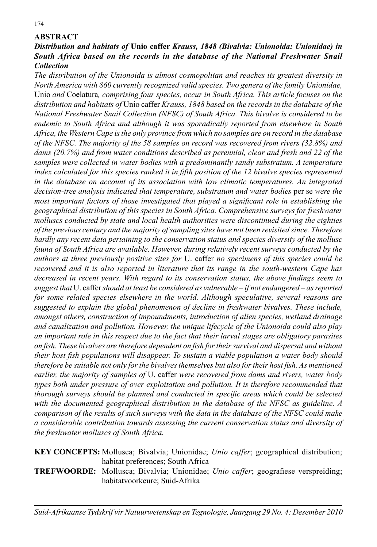# **ABSTRACT**

# *Distribution and habitats of* **Unio caffer** *Krauss, 1848 (Bivalvia: Unionoida: Unionidae) in South Africa based on the records in the database of the National Freshwater Snail Collection*

*The distribution of the Unionoida is almost cosmopolitan and reaches its greatest diversity in North America with 860 currently recognized valid species. Two genera of the family Unionidae,*  Unio *and* Coelatura*, comprising four species, occur in South Africa. This article focuses on the distribution and habitats of* Unio caffer *Krauss, 1848 based on the records in the database of the National Freshwater Snail Collection (NFSC) of South Africa. This bivalve is considered to be endemic to South Africa and although it was sporadically reported from elsewhere in South Africa, the Western Cape is the only province from which no samples are on record in the database of the NFSC. The majority of the 58 samples on record was recovered from rivers (32.8%) and dams (20.7%) and from water conditions described as perennial, clear and fresh and 22 of the*  samples were collected in water bodies with a predominantly sandy substratum. A temperature *index calculated for this species ranked it in fifth position of the 12 bivalve species represented in the database on account of its association with low climatic temperatures. An integrated decision-tree analysis indicated that temperature, substratum and water bodies* per se *were the most important factors of those investigated that played a significant role in establishing the geographical distribution of this species in South Africa. Comprehensive surveys for freshwater molluscs conducted by state and local health authorities were discontinued during the eighties of the previous century and the majority of sampling sites have not been revisited since. Therefore hardly any recent data pertaining to the conservation status and species diversity of the mollusc fauna of South Africa are available. However, during relatively recent surveys conducted by the authors at three previously positive sites for* U. caffer *no specimens of this species could be recovered and it is also reported in literature that its range in the south-western Cape has decreased in recent years. With regard to its conservation status, the above findings seem to suggest that* U. caffer *should at least be considered as vulnerable – if not endangered – as reported for some related species elsewhere in the world. Although speculative, several reasons are suggested to explain the global phenomenon of decline in freshwater bivalves. These include, amongst others, construction of impoundments, introduction of alien species, wetland drainage and canalization and pollution. However, the unique lifecycle of the Unionoida could also play an important role in this respect due to the fact that their larval stages are obligatory parasites on fi sh. These bivalves are therefore dependent on fi sh for their survival and dispersal and without their host fish populations will disappear. To sustain a viable population a water body should therefore be suitable not only for the bivalves themselves but also for their host fish. As mentioned earlier, the majority of samples of* U. caffer *were recovered from dams and rivers, water body types both under pressure of over exploitation and pollution. It is therefore recommended that thorough surveys should be planned and conducted in specific areas which could be selected with the documented geographical distribution in the database of the NFSC as guideline. A comparison of the results of such surveys with the data in the database of the NFSC could make a considerable contribution towards assessing the current conservation status and diversity of the freshwater molluscs of South Africa.*

**KEY CONCEPTS:** Mollusca; Bivalvia; Unionidae; *Unio caffer*; geographical distribution; habitat preferences; South Africa

**TREFWOORDE:** Mollusca; Bivalvia; Unionidae; *Unio caffer*; geografiese verspreiding; habitatvoorkeure; Suid-Afrika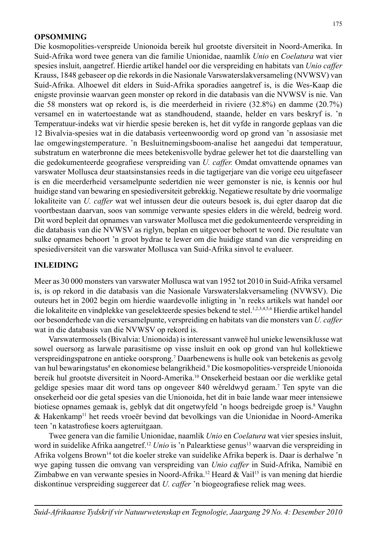#### **OPSOMMING**

Die kosmopolities-verspreide Unionoida bereik hul grootste diversiteit in Noord-Amerika. In Suid-Afrika word twee genera van die familie Unionidae, naamlik *Unio* en *Coelatura* wat vier spesies insluit, aangetref. Hierdie artikel handel oor die verspreiding en habitats van *Unio caffer*  Krauss, 1848 gebaseer op die rekords in die Nasionale Varswaterslakversameling (NVWSV) van Suid-Afrika. Alhoewel dit elders in Suid-Afrika sporadies aangetref is, is die Wes-Kaap die enigste provinsie waarvan geen monster op rekord in die databasis van die NVWSV is nie. Van die 58 monsters wat op rekord is, is die meerderheid in riviere (32.8%) en damme (20.7%) versamel en in watertoestande wat as standhoudend, staande, helder en vars beskryf is. 'n Temperatuur-indeks wat vir hierdie spesie bereken is, het dit vyfde in rangorde geplaas van die 12 Bivalvia-spesies wat in die databasis verteenwoordig word op grond van 'n assosiasie met lae omgewingstemperature. 'n Besluitnemingsboom-analise het aangedui dat temperatuur, substratum en waterbronne die mees betekenisvolle bydrae gelewer het tot die daarstelling van die gedokumenteerde geografiese verspreiding van *U. caffer*. Omdat omvattende opnames van varswater Mollusca deur staatsinstansies reeds in die tagtigerjare van die vorige eeu uitgefaseer is en die meerderheid versamelpunte sedertdien nie weer gemonster is nie, is kennis oor hul huidige stand van bewaring en spesiediversiteit gebrekkig. Negatiewe resultate by drie voormalige lokaliteite van *U. caffer* wat wel intussen deur die outeurs besoek is, dui egter daarop dat die voortbestaan daarvan, soos van sommige verwante spesies elders in die wêreld, bedreig word. Dit word bepleit dat opnames van varswater Mollusca met die gedokumenteerde verspreiding in die databasis van die NVWSV as riglyn, beplan en uitgevoer behoort te word. Die resultate van sulke opnames behoort 'n groot bydrae te lewer om die huidige stand van die verspreiding en spesiediversiteit van die varswater Mollusca van Suid-Afrika sinvol te evalueer.

#### **INLEIDING**

Meer as 30 000 monsters van varswater Mollusca wat van 1952 tot 2010 in Suid-Afrika versamel is, is op rekord in die databasis van die Nasionale Varswaterslakversameling (NVWSV). Die outeurs het in 2002 begin om hierdie waardevolle inligting in 'n reeks artikels wat handel oor die lokaliteite en vindplekke van geselekteerde spesies bekend te stel.1,2,3,4,5,6 Hierdie artikel handel oor besonderhede van die versamelpunte, verspreiding en habitats van die monsters van *U. caffer* wat in die databasis van die NVWSV op rekord is.

 Varswatermossels (Bivalvia: Unionoida) is interessant vanweë hul unieke lewensiklusse wat sowel ouersorg as larwale parasitisme op visse insluit en ook op grond van hul kollektiewe verspreidingspatrone en antieke oorsprong.7 Daarbenewens is hulle ook van betekenis as gevolg van hul bewaringstatus<sup>8</sup> en ekonomiese belangrikheid.<sup>9</sup> Die kosmopolities-verspreide Unionoida bereik hul grootste diversiteit in Noord-Amerika.10 Onsekerheid bestaan oor die werklike getal geldige spesies maar dit word tans op ongeveer 840 wêreldwyd geraam.7 Ten spyte van die onsekerheid oor die getal spesies van die Unionoida, het dit in baie lande waar meer intensiewe biotiese opnames gemaak is, geblyk dat dit ongetwyfeld 'n hoogs bedreigde groep is.<sup>8</sup> Vaughn & Hakenkamp11 het reeds vroeër bevind dat bevolkings van die Unionidae in Noord-Amerika teen 'n katastrofiese koers agteruitgaan.

 Twee genera van die familie Unionidae, naamlik *Unio* en *Coelatura* wat vier spesies insluit, word in suidelike Afrika aangetref.<sup>12</sup> *Unio* is 'n Palearktiese genus<sup>13</sup> waarvan die verspreiding in Afrika volgens Brown14 tot die koeler streke van suidelike Afrika beperk is. Daar is derhalwe 'n wye gaping tussen die omvang van verspreiding van *Unio caffer* in Suid-Afrika, Namibië en Zimbabwe en van verwante spesies in Noord-Afrika.12 Heard & Vail15 is van mening dat hierdie diskontinue verspreiding suggereer dat *U. caffer* 'n biogeografiese reliek mag wees.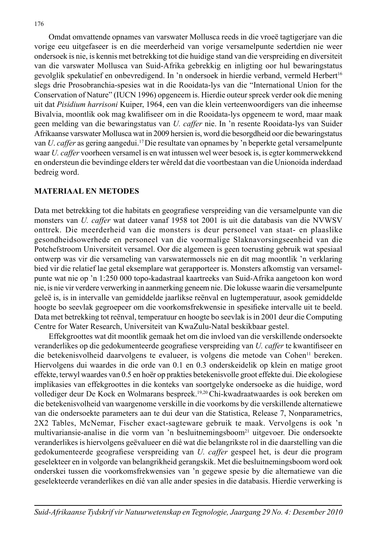Omdat omvattende opnames van varswater Mollusca reeds in die vroeë tagtigerjare van die vorige eeu uitgefaseer is en die meerderheid van vorige versamelpunte sedertdien nie weer ondersoek is nie, is kennis met betrekking tot die huidige stand van die verspreiding en diversiteit van die varswater Mollusca van Suid-Afrika gebrekkig en inligting oor hul bewaringstatus gevolglik spekulatief en onbevredigend. In 'n ondersoek in hierdie verband, vermeld Herbert<sup>16</sup> slegs drie Prosobranchia-spesies wat in die Rooidata-lys van die "International Union for the Conservation of Nature" (IUCN 1996) opgeneem is. Hierdie outeur spreek verder ook die mening uit dat *Pisidium harrisoni* Kuiper, 1964, een van die klein verteenwoordigers van die inheemse Bivalvia, moontlik ook mag kwalifiseer om in die Rooidata-lys opgeneem te word, maar maak geen melding van die bewaringstatus van *U. caffer* nie. In 'n resente Rooidata-lys van Suider Afrikaanse varswater Mollusca wat in 2009 hersien is, word die besorgdheid oor die bewaringstatus van *U*. *caffer* as gering aangedui.17 Die resultate van opnames by 'n beperkte getal versamelpunte waar *U. caffer* voorheen versamel is en wat intussen wel weer besoek is, is egter kommerwekkend en ondersteun die bevindinge elders ter wêreld dat die voortbestaan van die Unionoida inderdaad bedreig word.

# **MATERIAAL EN METODES**

Data met betrekking tot die habitats en geografiese verspreiding van die versamelpunte van die monsters van *U. caffer* wat dateer vanaf 1958 tot 2001 is uit die databasis van die NVWSV onttrek. Die meerderheid van die monsters is deur personeel van staat- en plaaslike gesondheidsowerhede en personeel van die voormalige Slaknavorsingseenheid van die Potchefstroom Universiteit versamel. Oor die algemeen is geen toerusting gebruik wat spesiaal ontwerp was vir die versameling van varswatermossels nie en dit mag moontlik 'n verklaring bied vir die relatief lae getal eksemplare wat gerapporteer is. Monsters afkomstig van versamelpunte wat nie op 'n 1:250 000 topo-kadastraal kaartreeks van Suid-Afrika aangetoon kon word nie, is nie vir verdere verwerking in aanmerking geneem nie. Die lokusse waarin die versamelpunte geleë is, is in intervalle van gemiddelde jaarlikse reënval en lugtemperatuur, asook gemiddelde hoogte bo seevlak gegroepeer om die voorkomsfrekwensie in spesifieke intervalle uit te beeld. Data met betrekking tot reënval, temperatuur en hoogte bo seevlak is in 2001 deur die Computing Centre for Water Research, Universiteit van KwaZulu-Natal beskikbaar gestel.

 Effekgroottes wat dit moontlik gemaak het om die invloed van die verskillende ondersoekte veranderlikes op die gedokumenteerde geografiese verspreiding van *U. caffer* te kwantifiseer en die betekenisvolheid daarvolgens te evalueer, is volgens die metode van Cohen<sup>11</sup> bereken. Hiervolgens dui waardes in die orde van 0.1 en 0.3 onderskeidelik op klein en matige groot effekte, terwyl waardes van 0.5 en hoër op prakties betekenisvolle groot effekte dui. Die ekologiese implikasies van effekgroottes in die konteks van soortgelyke ondersoeke as die huidige, word vollediger deur De Kock en Wolmarans bespreek.19,20 Chi-kwadraatwaardes is ook bereken om die betekenisvolheid van waargenome verskille in die voorkoms by die verskillende alternatiewe van die ondersoekte parameters aan te dui deur van die Statistica, Release 7, Nonparametrics, 2X2 Tables, McNemar, Fischer exact-sagteware gebruik te maak. Vervolgens is ook 'n multivariansie-analise in die vorm van 'n besluitnemingsboom<sup>21</sup> uitgevoer. Die ondersoekte veranderlikes is hiervolgens geëvalueer en dié wat die belangrikste rol in die daarstelling van die gedokumenteerde geografiese verspreiding van *U. caffer* gespeel het, is deur die program geselekteer en in volgorde van belangrikheid gerangskik. Met die besluitnemingsboom word ook onderskei tussen die voorkomsfrekwensies van 'n gegewe spesie by die alternatiewe van die geselekteerde veranderlikes en dié van alle ander spesies in die databasis. Hierdie verwerking is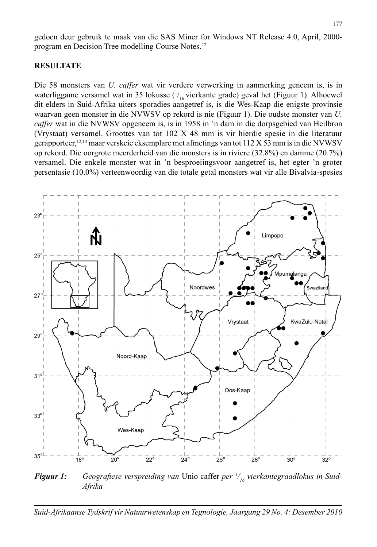gedoen deur gebruik te maak van die SAS Miner for Windows NT Release 4.0, April, 2000 program en Decision Tree modelling Course Notes.22

#### **RESULTATE**

Die 58 monsters van *U. caffer* wat vir verdere verwerking in aanmerking geneem is, is in waterliggame versamel wat in 35 lokusse ( $\frac{1}{16}$ vierkante grade) geval het (Figuur 1). Alhoewel dit elders in Suid-Afrika uiters sporadies aangetref is, is die Wes-Kaap die enigste provinsie waarvan geen monster in die NVWSV op rekord is nie (Figuur 1). Die oudste monster van *U. caffer* wat in die NVWSV opgeneem is, is in 1958 in 'n dam in die dorpsgebied van Heilbron (Vrystaat) versamel. Groottes van tot 102 X 48 mm is vir hierdie spesie in die literatuur gerapporteer,<sup>12,13</sup> maar verskeie eksemplare met afmetings van tot 112 X 53 mm is in die NVWSV op rekord. Die oorgrote meerderheid van die monsters is in riviere (32.8%) en damme (20.7%) versamel. Die enkele monster wat in 'n besproeiingsvoor aangetref is, het egter 'n groter persentasie (10.0%) verteenwoordig van die totale getal monsters wat vir alle Bivalvia-spesies



**Figuur 1:** Geografiese verspreiding van Unio caffer *per* <sup>1</sup>/<sub>16</sub> vierkantegraadlokus in Suid-*Afrika*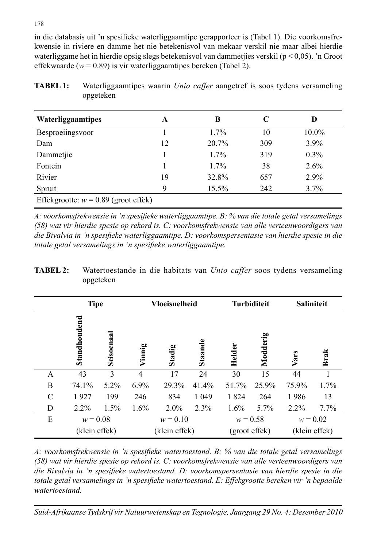in die databasis uit 'n spesifieke waterliggaamtipe gerapporteer is (Tabel 1). Die voorkomsfrekwensie in riviere en damme het nie betekenisvol van mekaar verskil nie maar albei hierdie waterliggame het in hierdie opsig slegs betekenisvol van dammetjies verskil ( $p < 0.05$ ). 'n Groot effekwaarde (*w* = 0.89) is vir waterliggaamtipes bereken (Tabel 2).

| <b>TABEL 1:</b> | Waterliggaamtipes waarin <i>Unio caffer</i> aangetref is soos tydens versameling |  |  |  |  |
|-----------------|----------------------------------------------------------------------------------|--|--|--|--|
|                 | opgeteken                                                                        |  |  |  |  |

| Waterliggaamtipes                      | A  | B       | C   | D        |
|----------------------------------------|----|---------|-----|----------|
| Besproeiingsvoor                       |    | 1.7%    | 10  | $10.0\%$ |
| Dam                                    | 12 | 20.7%   | 309 | $3.9\%$  |
| Dammetjie                              |    | $1.7\%$ | 319 | 0.3%     |
| Fontein                                |    | $1.7\%$ | 38  | 2.6%     |
| Rivier                                 | 19 | 32.8%   | 657 | 2.9%     |
| Spruit                                 | 9  | 15.5%   | 242 | 3.7%     |
| Effekgrootte: $w = 0.89$ (groot effek) |    |         |     |          |

*A: voorkomsfrekwensie in 'n spesifi eke waterliggaamtipe. B: % van die totale getal versamelings (58) wat vir hierdie spesie op rekord is. C: voorkomsfrekwensie van alle verteenwoordigers van*  die Bivalvia in 'n spesifieke waterliggaamtipe. D: voorkomspersentasie van hierdie spesie in die *totale getal versamelings in 'n spesifieke waterliggaamtipe.* 

| <b>TABEL 2:</b> | Watertoestande in die habitats van Unio caffer soos tydens versameling |  |  |  |  |  |
|-----------------|------------------------------------------------------------------------|--|--|--|--|--|
|                 | opgeteken                                                              |  |  |  |  |  |

|               | <b>Tipe</b>   |               |        | <b>Vloeisnelheid</b> |                |            | <b>Turbiditeit</b> | <b>Saliniteit</b> |               |
|---------------|---------------|---------------|--------|----------------------|----------------|------------|--------------------|-------------------|---------------|
|               | Standhoudend  | Seisoenaal    | Vinnig | Stadig               | <b>Staande</b> | Helder     | Modderig           | Vars              | <b>Brak</b>   |
| A             | 43            | $\mathcal{E}$ | 4      | 17                   | 24             | 30         | 15                 | 44                |               |
| B             | 74.1%         | $5.2\%$       | 6.9%   | 29.3%                | 41.4%          | 51.7%      | 25.9%              | 75.9%             | 1.7%          |
| $\mathcal{C}$ | 1927          | 199           | 246    | 834                  | 1 0 4 9        | 1824       | 264                | 1986              | 13            |
| D             | $2.2\%$       | 1.5%          | 1.6%   | $2.0\%$              | 2.3%           | $1.6\%$    | 5.7%               | $2.2\%$           | $7.7\%$       |
| Ε             | $w = 0.08$    |               |        | $w = 0.10$           |                | $w = 0.58$ |                    | $w = 0.02$        |               |
|               | (klein effek) |               |        | (klein effek)        |                |            | (groot effek)      |                   | (klein effek) |

A: voorkomsfrekwensie in 'n spesifieke watertoestand. B: % van die totale getal versamelings *(58) wat vir hierdie spesie op rekord is. C: voorkomsfrekwensie van alle verteenwoordigers van*  die Bivalvia in 'n spesifieke watertoestand. D: voorkomspersentasie van hierdie spesie in die totale getal versamelings in 'n spesifieke watertoestand. E: Effekgrootte bereken vir 'n bepaalde *watertoestand.*

*Suid-Afrikaanse Tydskrif vir Natuurwetenskap en Tegnologie, Jaargang 29 No. 4: Desember 2010*

#### 178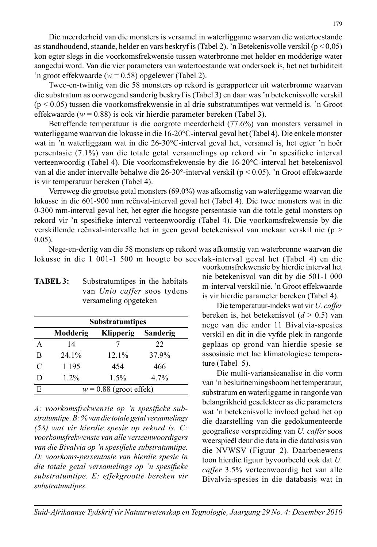Die meerderheid van die monsters is versamel in waterliggame waarvan die watertoestande as standhoudend, staande, helder en vars beskryf is (Tabel 2). 'n Betekenisvolle verskil ( $p < 0.05$ ) kon egter slegs in die voorkomsfrekwensie tussen waterbronne met helder en modderige water aangedui word. Van die vier parameters van watertoestande wat ondersoek is, het net turbiditeit 'n groot effekwaarde (*w* = 0.58) opgelewer (Tabel 2).

 Twee-en-twintig van die 58 monsters op rekord is gerapporteer uit waterbronne waarvan die substratum as oorwegend sanderig beskryf is (Tabel 3) en daar was 'n betekenisvolle verskil (p < 0.05) tussen die voorkomsfrekwensie in al drie substratumtipes wat vermeld is. 'n Groot effekwaarde (*w* = 0.88) is ook vir hierdie parameter bereken (Tabel 3).

 Betreffende temperatuur is die oorgrote meerderheid (77.6%) van monsters versamel in waterliggame waarvan die lokusse in die 16-20°C-interval geval het (Tabel 4). Die enkele monster wat in 'n waterliggaam wat in die 26-30°C-interval geval het, versamel is, het egter 'n hoër persentasie (7.1%) van die totale getal versamelings op rekord vir 'n spesifieke interval verteenwoordig (Tabel 4). Die voorkomsfrekwensie by die 16-20°C-interval het betekenisvol van al die ander intervalle behalwe die 26-30°-interval verskil (p < 0.05). 'n Groot effekwaarde is vir temperatuur bereken (Tabel 4).

 Verreweg die grootste getal monsters (69.0%) was afkomstig van waterliggame waarvan die lokusse in die 601-900 mm reënval-interval geval het (Tabel 4). Die twee monsters wat in die 0-300 mm-interval geval het, het egter die hoogste persentasie van die totale getal monsters op rekord vir 'n spesifieke interval verteenwoordig (Tabel 4). Die voorkomsfrekwensie by die verskillende reënval-intervalle het in geen geval betekenisvol van mekaar verskil nie (p > 0.05).

 Nege-en-dertig van die 58 monsters op rekord was afkomstig van waterbronne waarvan die lokusse in die 1 001-1 500 m hoogte bo seevlak-interval geval het (Tabel 4) en die

|               |          | <b>Substratumtipes</b>   |          |
|---------------|----------|--------------------------|----------|
|               | Modderig | <b>Klipperig</b>         | Sanderig |
| A             | 14       |                          | 22       |
| B             | $24.1\%$ | 12.1%                    | 37.9%    |
| $\mathcal{C}$ | 1 1 9 5  | 454                      | 466      |
| D             | $1.2\%$  | 1.5%                     | 4.7%     |
| E             |          | $w = 0.88$ (groot effek) |          |

**TABEL 3:** Substratumtipes in the habitats

versameling opgeteken

van *Unio caffer* soos tydens

| A: voorkomsfrekwensie op 'n spesifieke sub-         |
|-----------------------------------------------------|
| stratumtipe. B: % van die totale getal versamelings |
| $(58)$ wat vir hierdie spesie op rekord is. $C$ :   |
| voorkomsfrekwensie van alle verteenwoordigers       |
| van die Bivalvia op 'n spesifieke substratumtipe.   |
| D: voorkoms-persentasie van hierdie spesie in       |
| die totale getal versamelings op 'n spesifieke      |
| substratumtipe. E: effekgrootte bereken vir         |
| substratumtipes.                                    |

voorkomsfrekwensie by hierdie interval het nie betekenisvol van dit by die 501-1 000 m-interval verskil nie. 'n Groot effekwaarde is vir hierdie parameter bereken (Tabel 4).

 Die temperatuur-indeks wat vir *U. caffer* bereken is, het betekenisvol (*d* > 0.5) van nege van die ander 11 Bivalvia-spesies verskil en dit in die vyfde plek in rangorde geplaas op grond van hierdie spesie se assosiasie met lae klimatologiese temperature (Tabel 5).

 Die multi-variansieanalise in die vorm van 'n besluitnemingsboom het temperatuur, substratum en waterliggame in rangorde van belangrikheid geselekteer as die parameters wat 'n betekenisvolle invloed gehad het op die daarstelling van die gedokumenteerde geografiese verspreiding van *U. caffer* soos weerspieël deur die data in die databasis van die NVWSV (Figuur 2). Daarbenewens toon hierdie figuur byvoorbeeld ook dat *U*. *caffer* 3.5% verteenwoordig het van alle Bivalvia-spesies in die databasis wat in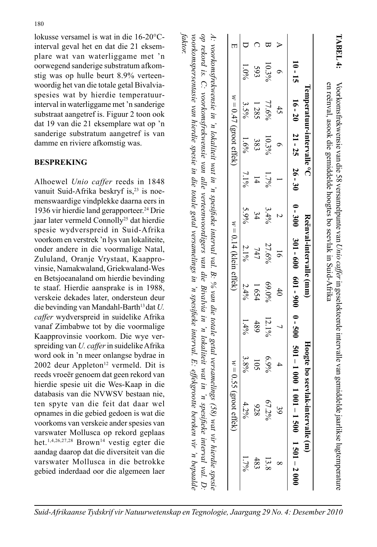lokusse versamel is wat in die 16-20°Cinterval geval het en dat die 21 eksemplare wat van waterliggame met 'n oorwegend sanderige substratum afkomstig was op hulle beurt 8.9% verteenwoordig het van die totale getal Bivalviaspesies wat by hierdie temperatuurinterval in waterliggame met 'n sanderige substraat aangetref is. Figuur 2 toon ook dat 19 van die 21 eksemplare wat op 'n sanderige substratum aangetref is van damme en riviere afkomstig was.

# **BESPREKING**

Alhoewel *Unio caffer* reeds in 1848 vanuit Suid-Afrika beskryf is,<sup>23</sup> is noemenswaardige vindplekke daarna eers in 1936 vir hierdie land gerapporteer.<sup>24</sup> Drie jaar later vermeld Connolly<sup>25</sup> dat hierdie spesie wydverspreid in Suid-Afrika voorkom en verstrek 'n lys van lokaliteite, onder andere in die voormalige Natal, Zululand, Oranje Vrystaat, Kaapprovinsie, Namakwaland, Griekwaland-Wes en Betsjoeanaland om hierdie bevinding te staaf. Hierdie aansprake is in 1988, verskeie dekades later, ondersteun deur die bevinding van Mandahl-Barth<sup>13</sup> dat *U*. *caffer* wydverspreid in suidelike Afrika vanaf Zimbabwe tot by die voormalige Kaapprovinsie voorkom. Die wye verspreiding van *U. caffer* in suidelike Afrika word ook in 'n meer onlangse bydrae in 2002 deur Appleton<sup>12</sup> vermeld. Dit is reeds vroeër genoem dat geen rekord van hierdie spesie uit die Wes-Kaap in die databasis van die NVWSV bestaan nie, ten spyte van die feit dat daar wel opnames in die gebied gedoen is wat die voorkoms van verskeie ander spesies van varswater Mollusca op rekord geplaas het.1,4,26,27,28 Brown14 vestig egter die aandag daarop dat die diversiteit van die varswater Mollusca in die betrokke gebied inderdaad oor die algemeen laer

| $w = 0.47$ (groot effek, | $w = 0.14$ (klein effek) | $w=0.5$<br>5 (groot effek                                                                                                                                                                                                                                                            |
|--------------------------|--------------------------|--------------------------------------------------------------------------------------------------------------------------------------------------------------------------------------------------------------------------------------------------------------------------------------|
|                          |                          | A: voorkomsfrekwensie in 'n lokaliteit wat in 'n spesifieke interval val. B: % van die totale getal versamelings (58) wat vir hierdie spesie                                                                                                                                         |
|                          |                          | op rekord is. C. voorkomsfrekwensie van alle verteenwoordigers van die Bivalvia in 'n lokaliteit wat in 'n spesifieke interval val. D.<br>voorkomspersentasie van hierdie spesie in die totale getal versamelings in 'n spesifieke interval. E: effekgrootte bereken vir 'n bepaalde |

*faktor.*

D 1.0% 3.8% 1.1% 1.6% 2.1% 2.1% 2.1% 2.1% 1.4% 1.7% 1.7% C 593 1 285 1 285 1 285 1 285 1 285 1 285 105 105 105 105 105 105 106 107 108 108 109 101 101 101 10 B 10.3% 77.6% 10.3% 1.7% 3.4% 27.6% 69.0% 12.1% 6.9% 67.2% 13.8 A 6 45 6 1 2 16 40 7 4 39 8

|                         |                                                                    | TABEL 4:                                                                                         |
|-------------------------|--------------------------------------------------------------------|--------------------------------------------------------------------------------------------------|
| Temperaturintervalle °C | en reënval, asook die gemiddelde hoogtes bo seevlak in Suid-Afrika | Voorkomsfrekwensie van die 58 versamelpunte van Unio caffer in geselekteerde intervalle van gemi |
| Neenval-intervalle (mm) |                                                                    |                                                                                                  |
| Hoogte bo seev          |                                                                    |                                                                                                  |

 $006 - 109$ 

 $-500$ 

 $1501 - 2000$ 

 $69.0\%$  $65$ 

 $6.99$  $\tilde{5}$  $\mathcal{S}^{\mathfrak{a}}$ 

 $67.29$ 

489

 $4.2\%$ 

 $\sharp$ 

 $301 - 600$ 

 $\overline{10}$ 

 $\overline{16}$ 

20

 $21 -$ 

 $26 - 30$ 

 $0 - 300$ 

 $7.69$ 

 $5^{\circ}$ 

 $9/69$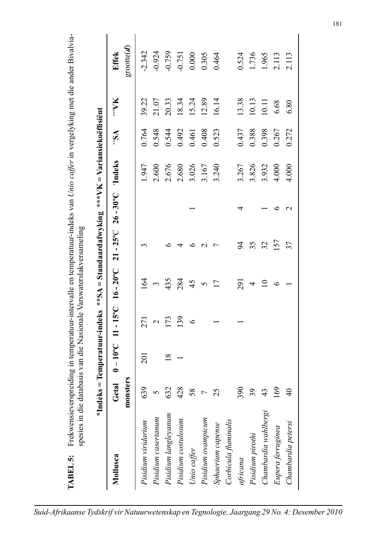| Mollusca                                  | monsters<br>Getal | $0 - 10^{\circ}$ C | $11 - 15^{\circ}$ C | $16 - 20^{\circ}$ C | $21 - 25^{\circ}$ C | $26 - 30^{\circ}$ C | 'Indeks | $\mathbb{R}$ | <b>XA</b> *** | $\text{groote}(\boldsymbol{d})$<br><b>Effek</b> |
|-------------------------------------------|-------------------|--------------------|---------------------|---------------------|---------------------|---------------------|---------|--------------|---------------|-------------------------------------------------|
| Pisidium viridarium                       | 639               | $\overline{201}$   | 271                 | $\overline{64}$     | 3                   |                     | 1.947   | 0.764        | 39.22         | $-2.342$                                        |
| Pisidium casertanum                       | 5                 |                    | $\mathcal{L}$       | 3                   |                     |                     | 2.600   | 0.548        | 21.07         | $-0.924$                                        |
| Pisidium langleyanum                      | 632               | 18                 | 173                 | 435                 | ∘                   |                     | 2.676   | 0.544        | 20.33         | $-0.759$                                        |
| Pisidium costulosum                       | 428               |                    | 139                 | 284                 | 4                   |                     | 2.680   | 0.492        | 18.34         | $-0.751$                                        |
|                                           | 58                |                    | $\circ$             | 45                  | ७                   |                     | 3.026   | 0.461        | 15.24         | 0.000                                           |
| Unio caffer<br>Pisidium ovampicum         | $\overline{ }$    |                    |                     | 5                   | $\mathbf{C}$        |                     | 3.167   | 0.408        | 12.89         | 0.305                                           |
| Sphaerium capense<br>Corbicula fluminalis | $\sigma$          |                    |                     | $\overline{17}$     | $\overline{ }$      |                     | 3.240   | 0.523        | 16.14         | 0.464                                           |
|                                           |                   |                    |                     |                     |                     |                     |         |              |               |                                                 |
| africana                                  | 90                |                    |                     | 291                 | 54                  | 4                   | 3.267   | 0.437        | 13.38         | 0.524                                           |
| Pisidium pirothi                          | 39                |                    |                     | 4                   | 35                  |                     | 3.826   | 0.388        | 10.13         | 1.736                                           |
| Chambardia wahlbergi                      | 43                |                    |                     | $\overline{10}$     | 32                  |                     | 3.932   | 0.398        | 10.11         | 1.965                                           |
| Eupera ferruginea                         | $\mathcal{S}$     |                    |                     | $\circ$             | 157                 | ७                   | 4.000   | 0.267        | 6.68          | 2.113                                           |
| Chambardia petersi                        | $\overline{4}$    |                    |                     |                     | 37                  | $\mathbf{\sim}$     | 4.000   | 0.272        | 6.80          | 2.113                                           |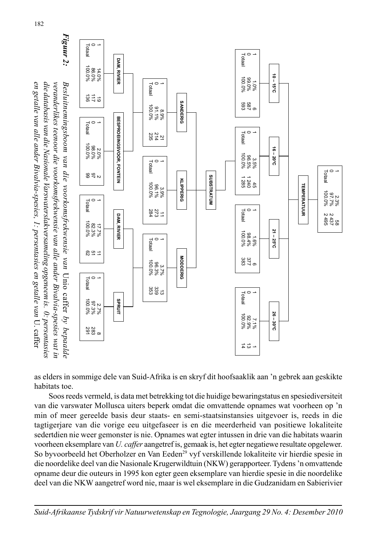

as elders in sommige dele van Suid-Afrika is en skryf dit hoofsaaklik aan 'n gebrek aan geskikte habitats toe.

 Soos reeds vermeld, is data met betrekking tot die huidige bewaringstatus en spesiediversiteit van die varswater Mollusca uiters beperk omdat die omvattende opnames wat voorheen op 'n min of meer gereelde basis deur staats- en semi-staatsinstansies uitgevoer is, reeds in die tagtigerjare van die vorige eeu uitgefaseer is en die meerderheid van positiewe lokaliteite sedertdien nie weer gemonster is nie. Opnames wat egter intussen in drie van die habitats waarin voorheen eksemplare van *U. caffer* aangetref is, gemaak is, het egter negatiewe resultate opgelewer. So byvoorbeeld het Oberholzer en Van Eeden<sup>29</sup> vyf verskillende lokaliteite vir hierdie spesie in die noordelike deel van die Nasionale Krugerwildtuin (NKW) gerapporteer. Tydens 'n omvattende opname deur die outeurs in 1995 kon egter geen eksemplare van hierdie spesie in die noordelike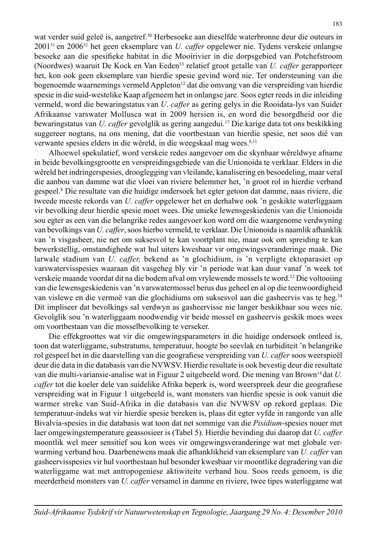wat verder suid geleë is, aangetref.<sup>30</sup> Herbesoeke aan dieselfde waterbronne deur die outeurs in 200131 en 200632 het geen eksemplare van *U. caffer* opgelewer nie. Tydens verskeie onlangse besoeke aan die spesifieke habitat in die Mooirivier in die dorpsgebied van Potchefstroom (Noordwes) waaruit De Kock en Van Eeden33 relatief groot getalle van *U. caffer* gerapporteer het, kon ook geen eksemplare van hierdie spesie gevind word nie. Ter ondersteuning van die bogenoemde waarnemings vermeld Appleton<sup>12</sup> dat die omvang van die verspreiding van hierdie spesie in die suid-westelike Kaap afgeneem het in onlangse jare. Soos egter reeds in die inleiding vermeld, word die bewaringstatus van *U*. *caffer* as gering gelys in die Rooidata-lys van Suider Afrikaanse varswater Mollusca wat in 2009 hersien is, en word die besorgdheid oor die bewaringstatus van *U*. *caffer* gevolglik as gering aangedui.17 Die karige data tot ons beskikking suggereer nogtans, na ons mening, dat die voortbestaan van hierdie spesie, net soos dié van verwante spesies elders in die wêreld, in die weegskaal mag wees.<sup>8,11</sup>

 Alhoewel spekulatief, word verskeie redes aangevoer om die skynbaar wêreldwye afname in beide bevolkingsgrootte en verspreidingsgebiede van die Unionoida te verklaar. Elders in die wêreld het indringerspesies, drooglegging van vleilande, kanalisering en besoedeling, maar veral die aanbou van damme wat die vloei van riviere belemmer het, 'n groot rol in hierdie verband gespeel.8 Die resultate van die huidige ondersoek het egter getoon dat damme, naas riviere, die tweede meeste rekords van *U. caffer* opgelewer het en derhalwe ook 'n geskikte waterliggaam vir bevolking deur hierdie spesie moet wees. Die unieke lewensgeskiedenis van die Unionoida sou egter as een van die belangrike redes aangevoer kon word om die waargenome verdwyning van bevolkings van *U. caffer*, soos hierbo vermeld, te verklaar. Die Unionoida is naamlik afhanklik van 'n visgasheer, nie net om suksesvol te kan voortplant nie, maar ook om spreiding te kan bewerkstellig, omstandighede wat hul uiters kwesbaar vir omgewingsveranderinge maak. Die larwale stadium van *U. caffer,* bekend as 'n glochidium, is 'n verpligte ektoparasiet op varswatervisspesies waaraan dit vasgeheg bly vir 'n periode wat kan duur vanaf 'n week tot verskeie maande voordat dit na die bodem afval om vrylewende mossels te word.12 Die voltooiing van die lewensgeskiedenis van 'n varswatermossel berus dus geheel en al op die teenwoordigheid van vislewe en die vermoë van die glochidiums om suksesvol aan die gasheervis vas te heg.<sup>34</sup> Dit impliseer dat bevolkings sal verdwyn as gasheervisse nie langer beskikbaar sou wees nie. Gevolglik sou 'n waterliggaam noodwendig vir beide mossel en gasheervis geskik moes wees om voortbestaan van die mosselbevolking te verseker.

 Die effekgroottes wat vir die omgewingsparameters in die huidige ondersoek ontleed is, toon dat waterliggame, substratums, temperatuur, hoogte bo seevlak en turbiditeit 'n belangrike rol gespeel het in die daarstelling van die geografiese verspreiding van *U. caffer* soos weerspieël deur die data in die databasis van die NVWSV. Hierdie resultate is ook bevestig deur die resultate van die multi-variansie-analise wat in Figuur 2 uitgebeeld word. Die mening van Brown14 dat *U. caffer* tot die koeler dele van suidelike Afrika beperk is, word weerspreek deur die geografiese verspreiding wat in Figuur 1 uitgebeeld is, want monsters van hierdie spesie is ook vanuit die warmer streke van Suid-Afrika in die databasis van die NVWSV op rekord geplaas. Die temperatuur-indeks wat vir hierdie spesie bereken is, plaas dit egter vyfde in rangorde van alle Bivalvia-spesies in die databasis wat toon dat net sommige van die *Pisidium*-spesies nouer met laer omgewingstemperature geassosieer is (Tabel 5). Hierdie bevinding dui daarop dat *U. caffer*  moontlik wel meer sensitief sou kon wees vir omgewingsveranderinge wat met globale verwarming verband hou. Daarbenewens maak die afhanklikheid van eksemplare van *U. caffer* van gasheervisspesies vir hul voortbestaan hul besonder kwesbaar vir moontlike degradering van die waterliggame wat met antropogeniese aktiwiteite verband hou. Soos reeds genoem, is die meerderheid monsters van *U. caffer* versamel in damme en riviere, twee tipes waterliggame wat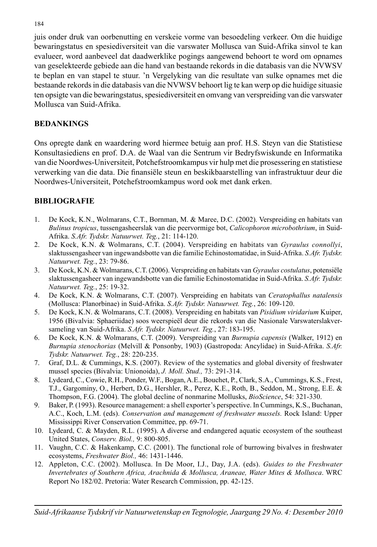juis onder druk van oorbenutting en verskeie vorme van besoedeling verkeer. Om die huidige bewaringstatus en spesiediversiteit van die varswater Mollusca van Suid-Afrika sinvol te kan evalueer, word aanbeveel dat daadwerklike pogings aangewend behoort te word om opnames van geselekteerde gebiede aan die hand van bestaande rekords in die databasis van die NVWSV te beplan en van stapel te stuur. 'n Vergelyking van die resultate van sulke opnames met die bestaande rekords in die databasis van die NVWSV behoort lig te kan werp op die huidige situasie ten opsigte van die bewaringstatus, spesiediversiteit en omvang van verspreiding van die varswater Mollusca van Suid-Afrika.

# **BEDANKINGS**

Ons opregte dank en waardering word hiermee betuig aan prof. H.S. Steyn van die Statistiese Konsultasiediens en prof. D.A. de Waal van die Sentrum vir Bedryfswiskunde en Informatika van die Noordwes-Universiteit, Potchefstroomkampus vir hulp met die prosessering en statistiese verwerking van die data. Die finansiële steun en beskikbaarstelling van infrastruktuur deur die Noordwes-Universiteit, Potchefstroomkampus word ook met dank erken.

# **BIBLIOGRAFIE**

- 1. De Kock, K.N., Wolmarans, C.T., Bornman, M. & Maree, D.C. (2002). Verspreiding en habitats van *Bulinus tropicus*, tussengasheerslak van die peervormige bot, *Calicophoron microbothrium*, in Suid-Afrika. *S.Afr. Tydskr. Natuurwet. Teg.*, 21: 114-120.
- 2. De Kock, K.N. & Wolmarans, C.T. (2004). Verspreiding en habitats van *Gyraulus connollyi*, slaktussengasheer van ingewandsbotte van die familie Echinostomatidae, in Suid-Afrika. *S.Afr. Tydskr. Natuurwet. Teg.*, 23: 79-86.
- 3. De Kock, K.N. & Wolmarans, C.T. (2006). Verspreiding en habitats van *Gyraulus costulatus*, potensiële slaktussengasheer van ingewandsbotte van die familie Echinostomatidae in Suid-Afrika. *S.Afr. Tydskr. Natuurwet. Teg.*, 25: 19-32.
- 4. De Kock, K.N. & Wolmarans, C.T. (2007). Verspreiding en habitats van *Ceratophallus natalensis*  (Mollusca: Planorbinae) in Suid-Afrika. *S.Afr. Tydskr. Natuurwet. Teg.*, 26: 109-120.
- 5. De Kock, K.N. & Wolmarans, C.T. (2008). Verspreiding en habitats van *Pisidium viridarium* Kuiper, 1956 (Bivalvia: Sphaeriidae) soos weerspieël deur die rekords van die Nasionale Varswaterslakversameling van Suid-Afrika. *S.Afr. Tydskr. Natuurwet. Teg.*, 27: 183-195.
- 6. De Kock, K.N. & Wolmarans, C.T. (2009). Verspreiding van *Burnupia capensis* (Walker, 1912) en *Burnupia stenochorias* (Melvill & Ponsonby, 1903) (Gastropoda: Ancylidae) in Suid-Afrika. *S.Afr. Tydskr. Natuurwet. Teg.*, 28: 220-235.
- 7. Graf, D.L. & Cummings, K.S. (2007). Review of the systematics and global diversity of freshwater mussel species (Bivalvia: Unionoida), *J. Moll. Stud.,* 73: 291-314.
- 8. Lydeard, C., Cowie, R.H., Ponder, W.F., Bogan, A.E., Bouchet, P., Clark, S.A., Cummings, K.S., Frest, T.J., Gargominy, O., Herbert, D.G., Hershler, R., Perez, K.E., Roth, B., Seddon, M., Strong, E.E. & Thompson, F.G. (2004). The global decline of nonmarine Mollusks, *BioScience*, 54: 321-330.
- 9. Baker, P. (1993). Resource management: a shell exporter's perspective. In Cummings, K.S., Buchanan, A.C., Koch, L.M. (eds). *Conservation and management of freshwater mussels.* Rock Island: Upper Mississippi River Conservation Committee, pp. 69-71.
- 10. Lydeard, C. & Mayden, R.L. (1995). A diverse and endangered aquatic ecosystem of the southeast United States, *Conserv. Biol.,* 9: 800-805.
- 11. Vaughn, C.C. & Hakenkamp, C.C. (2001). The functional role of burrowing bivalves in freshwater ecosystems, *Freshwater Biol.,* 46: 1431-1446.
- 12. Appleton, C.C. (2002). Mollusca. In De Moor, I.J., Day, J.A. (eds). *Guides to the Freshwater Invertebrates of Southern Africa, Arachnida & Mollusca, Araneae, Water Mites & Mollusca*. WRC Report No 182/02. Pretoria: Water Research Commission, pp. 42-125.